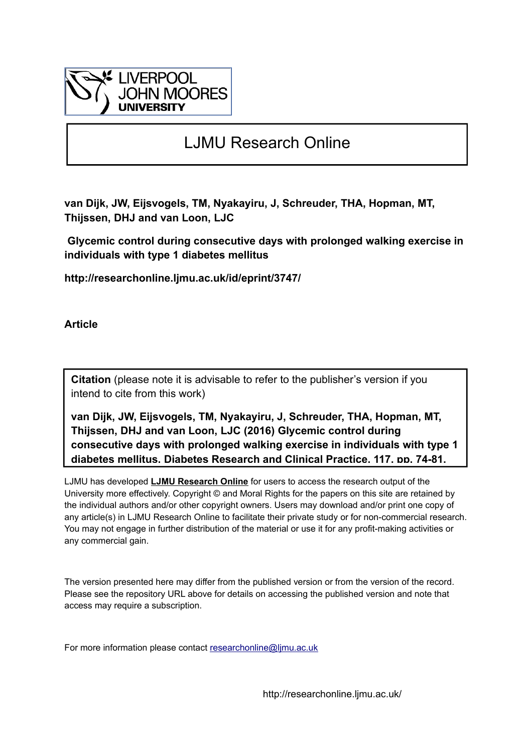

## LJMU Research Online

**van Dijk, JW, Eijsvogels, TM, Nyakayiru, J, Schreuder, THA, Hopman, MT, Thijssen, DHJ and van Loon, LJC**

 **Glycemic control during consecutive days with prolonged walking exercise in individuals with type 1 diabetes mellitus**

**http://researchonline.ljmu.ac.uk/id/eprint/3747/**

**Article**

**Citation** (please note it is advisable to refer to the publisher's version if you intend to cite from this work)

**van Dijk, JW, Eijsvogels, TM, Nyakayiru, J, Schreuder, THA, Hopman, MT, Thijssen, DHJ and van Loon, LJC (2016) Glycemic control during consecutive days with prolonged walking exercise in individuals with type 1 diabetes mellitus. Diabetes Research and Clinical Practice, 117. pp. 74-81.** 

LJMU has developed **[LJMU Research Online](http://researchonline.ljmu.ac.uk/)** for users to access the research output of the University more effectively. Copyright © and Moral Rights for the papers on this site are retained by the individual authors and/or other copyright owners. Users may download and/or print one copy of any article(s) in LJMU Research Online to facilitate their private study or for non-commercial research. You may not engage in further distribution of the material or use it for any profit-making activities or any commercial gain.

The version presented here may differ from the published version or from the version of the record. Please see the repository URL above for details on accessing the published version and note that access may require a subscription.

For more information please contact researchonline@limu.ac.uk

http://researchonline.ljmu.ac.uk/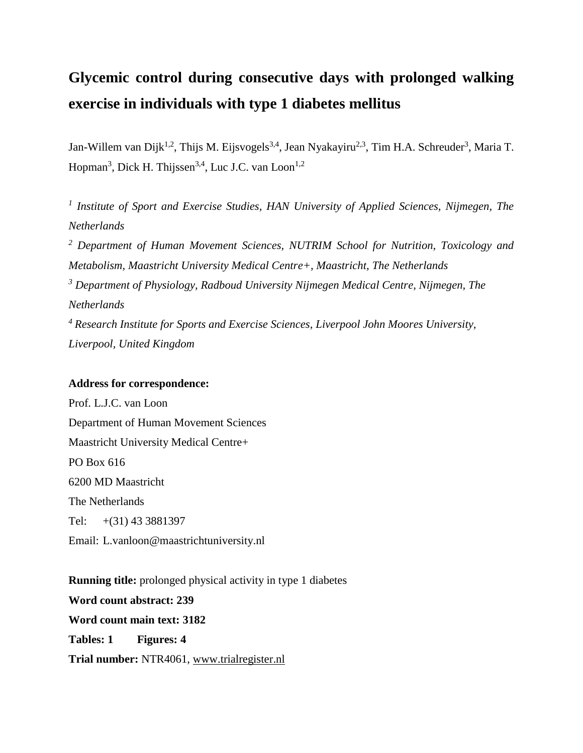# **Glycemic control during consecutive days with prolonged walking exercise in individuals with type 1 diabetes mellitus**

Jan-Willem van Dijk<sup>1,2</sup>, Thijs M. Eijsvogels<sup>3,4</sup>, Jean Nyakayiru<sup>2,3</sup>, Tim H.A. Schreuder<sup>3</sup>, Maria T. Hopman<sup>3</sup>, Dick H. Thijssen<sup>3,4</sup>, Luc J.C. van Loon<sup>1,2</sup>

*1 Institute of Sport and Exercise Studies, HAN University of Applied Sciences, Nijmegen, The Netherlands*

*<sup>2</sup> Department of Human Movement Sciences, NUTRIM School for Nutrition, Toxicology and Metabolism, Maastricht University Medical Centre+, Maastricht, The Netherlands <sup>3</sup> Department of Physiology, Radboud University Nijmegen Medical Centre, Nijmegen, The Netherlands <sup>4</sup> Research Institute for Sports and Exercise Sciences, Liverpool John Moores University, Liverpool, United Kingdom*

#### **Address for correspondence:**

Prof. L.J.C. van Loon Department of Human Movement Sciences Maastricht University Medical Centre+ PO Box 616 6200 MD Maastricht The Netherlands Tel: +(31) 43 3881397 Email: L.vanloon@maastrichtuniversity.nl

**Running title:** prolonged physical activity in type 1 diabetes **Word count abstract: 239 Word count main text: 3182 Tables: 1 Figures: 4 Trial number:** NTR4061, [www.trialregister.nl](http://www.trialregister.nl/)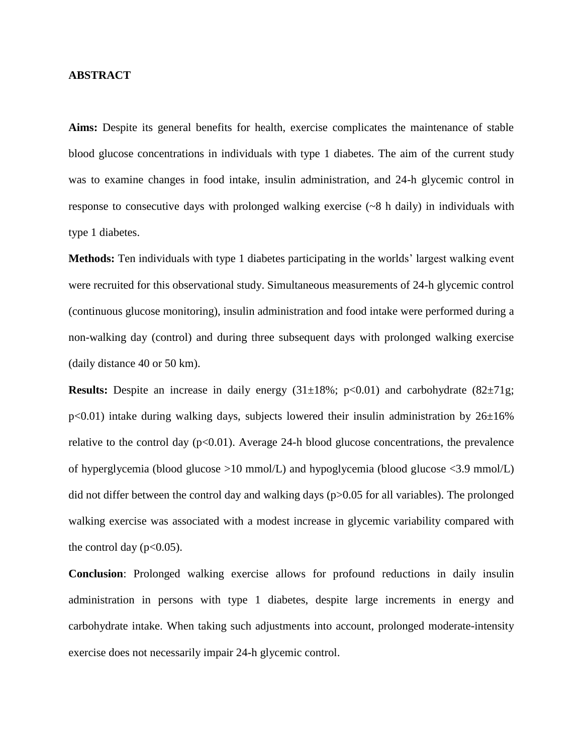#### **ABSTRACT**

**Aims:** Despite its general benefits for health, exercise complicates the maintenance of stable blood glucose concentrations in individuals with type 1 diabetes. The aim of the current study was to examine changes in food intake, insulin administration, and 24-h glycemic control in response to consecutive days with prolonged walking exercise (~8 h daily) in individuals with type 1 diabetes.

**Methods:** Ten individuals with type 1 diabetes participating in the worlds' largest walking event were recruited for this observational study. Simultaneous measurements of 24-h glycemic control (continuous glucose monitoring), insulin administration and food intake were performed during a non-walking day (control) and during three subsequent days with prolonged walking exercise (daily distance 40 or 50 km).

**Results:** Despite an increase in daily energy  $(31\pm18\%)$ ;  $p<0.01$ ) and carbohydrate  $(82\pm71g)$ ;  $p<0.01$ ) intake during walking days, subjects lowered their insulin administration by  $26\pm16\%$ relative to the control day  $(p<0.01)$ . Average 24-h blood glucose concentrations, the prevalence of hyperglycemia (blood glucose >10 mmol/L) and hypoglycemia (blood glucose <3.9 mmol/L) did not differ between the control day and walking days (p>0.05 for all variables). The prolonged walking exercise was associated with a modest increase in glycemic variability compared with the control day  $(p<0.05)$ .

**Conclusion**: Prolonged walking exercise allows for profound reductions in daily insulin administration in persons with type 1 diabetes, despite large increments in energy and carbohydrate intake. When taking such adjustments into account, prolonged moderate-intensity exercise does not necessarily impair 24-h glycemic control.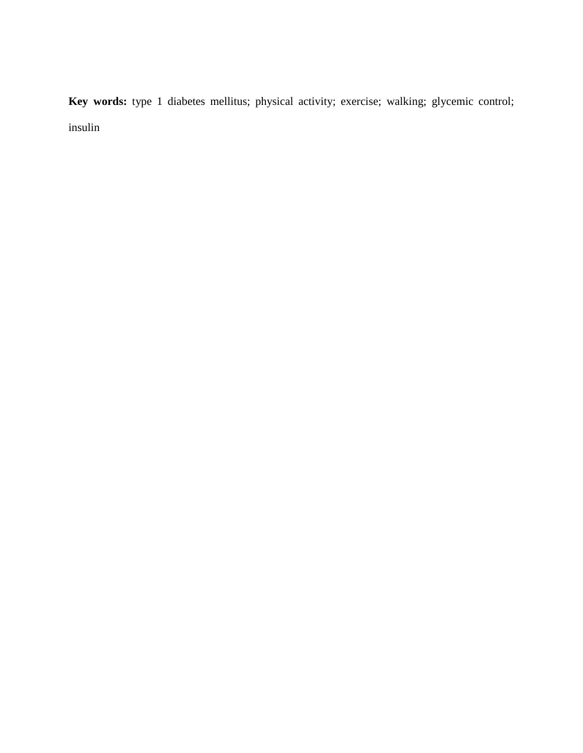**Key words:** type 1 diabetes mellitus; physical activity; exercise; walking; glycemic control; insulin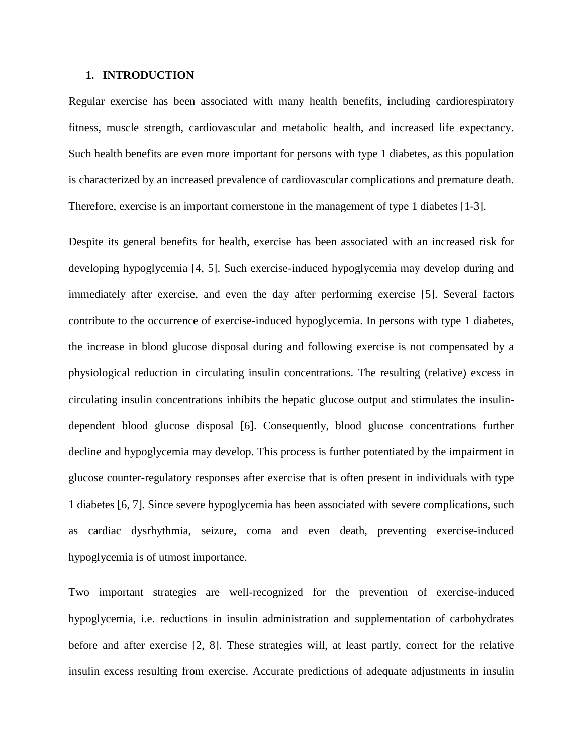#### **1. INTRODUCTION**

Regular exercise has been associated with many health benefits, including cardiorespiratory fitness, muscle strength, cardiovascular and metabolic health, and increased life expectancy. Such health benefits are even more important for persons with type 1 diabetes, as this population is characterized by an increased prevalence of cardiovascular complications and premature death. Therefore, exercise is an important cornerstone in the management of type 1 diabetes [\[1-3\]](#page-18-0).

Despite its general benefits for health, exercise has been associated with an increased risk for developing hypoglycemia [\[4,](#page-18-1) [5\]](#page-18-2). Such exercise-induced hypoglycemia may develop during and immediately after exercise, and even the day after performing exercise [\[5\]](#page-18-2). Several factors contribute to the occurrence of exercise-induced hypoglycemia. In persons with type 1 diabetes, the increase in blood glucose disposal during and following exercise is not compensated by a physiological reduction in circulating insulin concentrations. The resulting (relative) excess in circulating insulin concentrations inhibits the hepatic glucose output and stimulates the insulindependent blood glucose disposal [\[6\]](#page-18-3). Consequently, blood glucose concentrations further decline and hypoglycemia may develop. This process is further potentiated by the impairment in glucose counter-regulatory responses after exercise that is often present in individuals with type 1 diabetes [\[6,](#page-18-3) [7\]](#page-18-4). Since severe hypoglycemia has been associated with severe complications, such as cardiac dysrhythmia, seizure, coma and even death, preventing exercise-induced hypoglycemia is of utmost importance.

Two important strategies are well-recognized for the prevention of exercise-induced hypoglycemia, i.e. reductions in insulin administration and supplementation of carbohydrates before and after exercise [\[2,](#page-18-5) [8\]](#page-18-6). These strategies will, at least partly, correct for the relative insulin excess resulting from exercise. Accurate predictions of adequate adjustments in insulin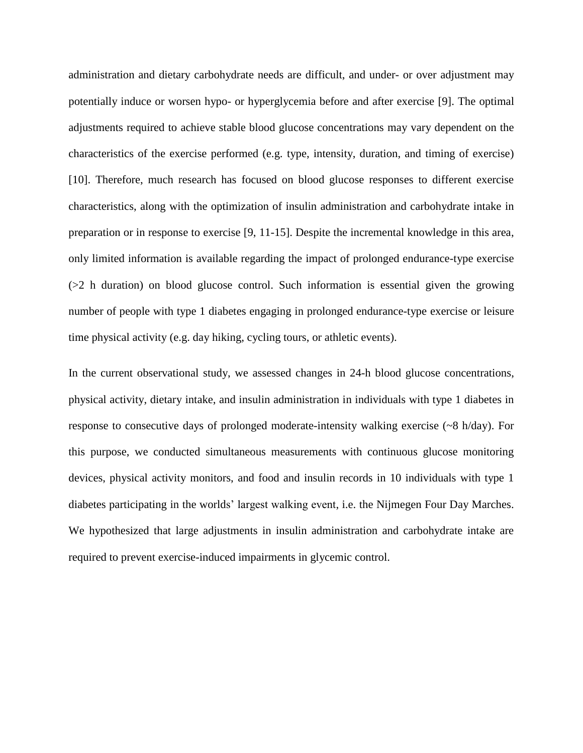administration and dietary carbohydrate needs are difficult, and under- or over adjustment may potentially induce or worsen hypo- or hyperglycemia before and after exercise [\[9\]](#page-18-7). The optimal adjustments required to achieve stable blood glucose concentrations may vary dependent on the characteristics of the exercise performed (e.g. type, intensity, duration, and timing of exercise) [\[10\]](#page-18-8). Therefore, much research has focused on blood glucose responses to different exercise characteristics, along with the optimization of insulin administration and carbohydrate intake in preparation or in response to exercise [\[9,](#page-18-7) [11-15\]](#page-18-9). Despite the incremental knowledge in this area, only limited information is available regarding the impact of prolonged endurance-type exercise (>2 h duration) on blood glucose control. Such information is essential given the growing number of people with type 1 diabetes engaging in prolonged endurance-type exercise or leisure time physical activity (e.g. day hiking, cycling tours, or athletic events).

In the current observational study, we assessed changes in 24-h blood glucose concentrations, physical activity, dietary intake, and insulin administration in individuals with type 1 diabetes in response to consecutive days of prolonged moderate-intensity walking exercise (~8 h/day). For this purpose, we conducted simultaneous measurements with continuous glucose monitoring devices, physical activity monitors, and food and insulin records in 10 individuals with type 1 diabetes participating in the worlds' largest walking event, i.e. the Nijmegen Four Day Marches. We hypothesized that large adjustments in insulin administration and carbohydrate intake are required to prevent exercise-induced impairments in glycemic control.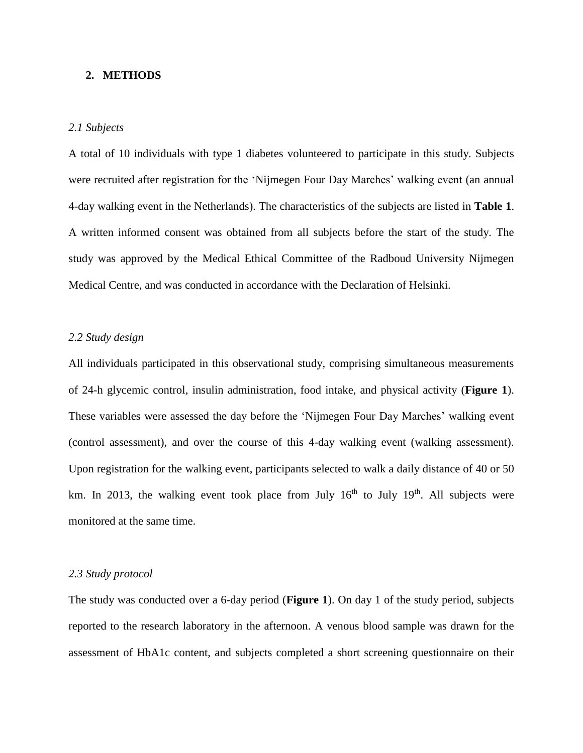#### **2. METHODS**

#### *2.1 Subjects*

A total of 10 individuals with type 1 diabetes volunteered to participate in this study. Subjects were recruited after registration for the 'Nijmegen Four Day Marches' walking event (an annual 4-day walking event in the Netherlands). The characteristics of the subjects are listed in **Table 1**. A written informed consent was obtained from all subjects before the start of the study. The study was approved by the Medical Ethical Committee of the Radboud University Nijmegen Medical Centre, and was conducted in accordance with the Declaration of Helsinki.

#### *2.2 Study design*

All individuals participated in this observational study, comprising simultaneous measurements of 24-h glycemic control, insulin administration, food intake, and physical activity (**Figure 1**). These variables were assessed the day before the 'Nijmegen Four Day Marches' walking event (control assessment), and over the course of this 4-day walking event (walking assessment). Upon registration for the walking event, participants selected to walk a daily distance of 40 or 50 km. In 2013, the walking event took place from July  $16<sup>th</sup>$  to July  $19<sup>th</sup>$ . All subjects were monitored at the same time.

#### *2.3 Study protocol*

The study was conducted over a 6-day period (**Figure 1**). On day 1 of the study period, subjects reported to the research laboratory in the afternoon. A venous blood sample was drawn for the assessment of HbA1c content, and subjects completed a short screening questionnaire on their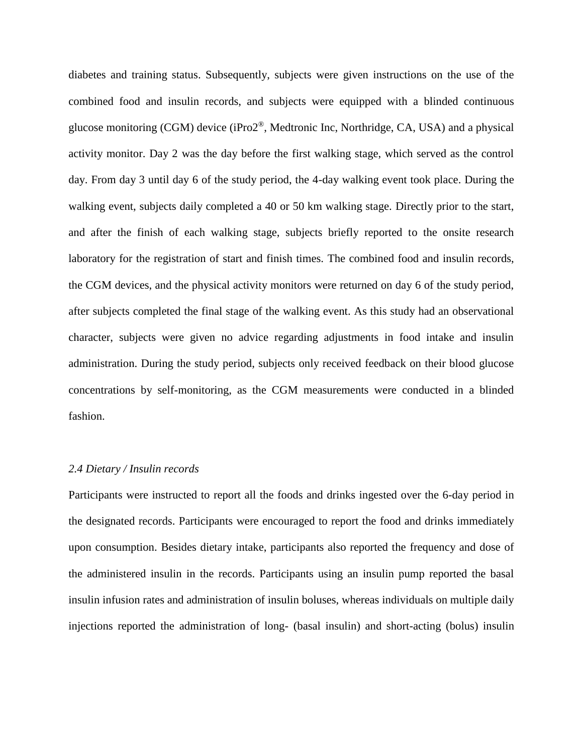diabetes and training status. Subsequently, subjects were given instructions on the use of the combined food and insulin records, and subjects were equipped with a blinded continuous glucose monitoring (CGM) device (iPro2®, Medtronic Inc, Northridge, CA, USA) and a physical activity monitor. Day 2 was the day before the first walking stage, which served as the control day. From day 3 until day 6 of the study period, the 4-day walking event took place. During the walking event, subjects daily completed a 40 or 50 km walking stage. Directly prior to the start, and after the finish of each walking stage, subjects briefly reported to the onsite research laboratory for the registration of start and finish times. The combined food and insulin records, the CGM devices, and the physical activity monitors were returned on day 6 of the study period, after subjects completed the final stage of the walking event. As this study had an observational character, subjects were given no advice regarding adjustments in food intake and insulin administration. During the study period, subjects only received feedback on their blood glucose concentrations by self-monitoring, as the CGM measurements were conducted in a blinded fashion.

#### *2.4 Dietary / Insulin records*

Participants were instructed to report all the foods and drinks ingested over the 6-day period in the designated records. Participants were encouraged to report the food and drinks immediately upon consumption. Besides dietary intake, participants also reported the frequency and dose of the administered insulin in the records. Participants using an insulin pump reported the basal insulin infusion rates and administration of insulin boluses, whereas individuals on multiple daily injections reported the administration of long- (basal insulin) and short-acting (bolus) insulin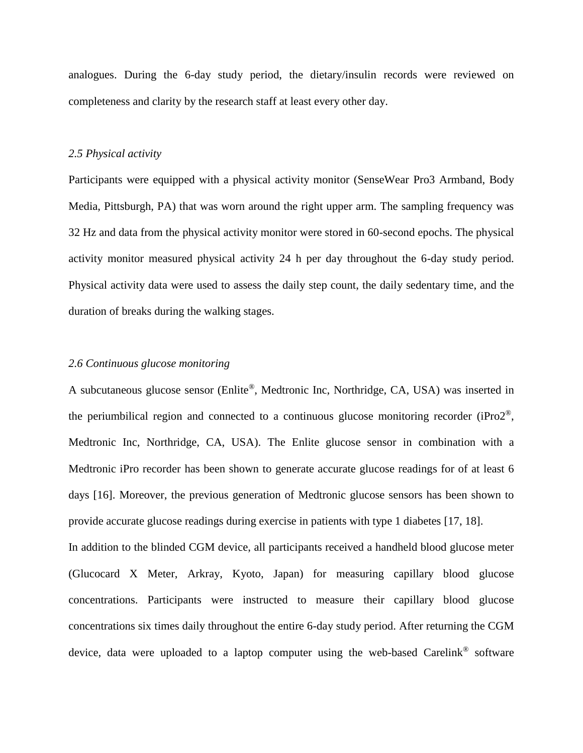analogues. During the 6-day study period, the dietary/insulin records were reviewed on completeness and clarity by the research staff at least every other day.

#### *2.5 Physical activity*

Participants were equipped with a physical activity monitor (SenseWear Pro3 Armband, Body Media, Pittsburgh, PA) that was worn around the right upper arm. The sampling frequency was 32 Hz and data from the physical activity monitor were stored in 60-second epochs. The physical activity monitor measured physical activity 24 h per day throughout the 6-day study period. Physical activity data were used to assess the daily step count, the daily sedentary time, and the duration of breaks during the walking stages.

#### *2.6 Continuous glucose monitoring*

A subcutaneous glucose sensor (Enlite®, Medtronic Inc, Northridge, CA, USA) was inserted in the periumbilical region and connected to a continuous glucose monitoring recorder (iPro2®, Medtronic Inc, Northridge, CA, USA). The Enlite glucose sensor in combination with a Medtronic iPro recorder has been shown to generate accurate glucose readings for of at least 6 days [\[16\]](#page-19-0). Moreover, the previous generation of Medtronic glucose sensors has been shown to provide accurate glucose readings during exercise in patients with type 1 diabetes [\[17,](#page-19-1) [18\]](#page-19-2).

In addition to the blinded CGM device, all participants received a handheld blood glucose meter (Glucocard X Meter, Arkray, Kyoto, Japan) for measuring capillary blood glucose concentrations. Participants were instructed to measure their capillary blood glucose concentrations six times daily throughout the entire 6-day study period. After returning the CGM device, data were uploaded to a laptop computer using the web-based Carelink® software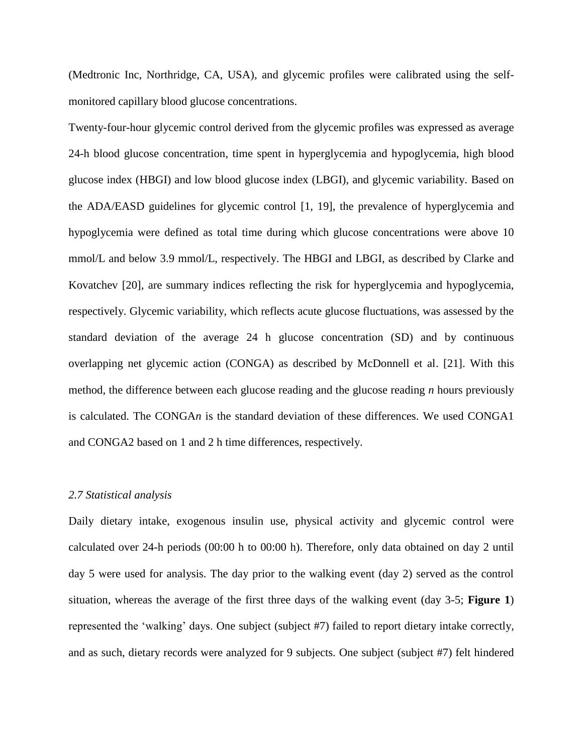(Medtronic Inc, Northridge, CA, USA), and glycemic profiles were calibrated using the selfmonitored capillary blood glucose concentrations.

Twenty-four-hour glycemic control derived from the glycemic profiles was expressed as average 24-h blood glucose concentration, time spent in hyperglycemia and hypoglycemia, high blood glucose index (HBGI) and low blood glucose index (LBGI), and glycemic variability. Based on the ADA/EASD guidelines for glycemic control [\[1,](#page-18-0) [19\]](#page-19-3), the prevalence of hyperglycemia and hypoglycemia were defined as total time during which glucose concentrations were above 10 mmol/L and below 3.9 mmol/L, respectively. The HBGI and LBGI, as described by Clarke and Kovatchev [\[20\]](#page-19-4), are summary indices reflecting the risk for hyperglycemia and hypoglycemia, respectively. Glycemic variability, which reflects acute glucose fluctuations, was assessed by the standard deviation of the average 24 h glucose concentration (SD) and by continuous overlapping net glycemic action (CONGA) as described by McDonnell et al. [\[21\]](#page-19-5). With this method, the difference between each glucose reading and the glucose reading *n* hours previously is calculated. The CONGA*n* is the standard deviation of these differences. We used CONGA1 and CONGA2 based on 1 and 2 h time differences, respectively.

#### *2.7 Statistical analysis*

Daily dietary intake, exogenous insulin use, physical activity and glycemic control were calculated over 24-h periods (00:00 h to 00:00 h). Therefore, only data obtained on day 2 until day 5 were used for analysis. The day prior to the walking event (day 2) served as the control situation, whereas the average of the first three days of the walking event (day 3-5; **Figure 1**) represented the 'walking' days. One subject (subject #7) failed to report dietary intake correctly, and as such, dietary records were analyzed for 9 subjects. One subject (subject #7) felt hindered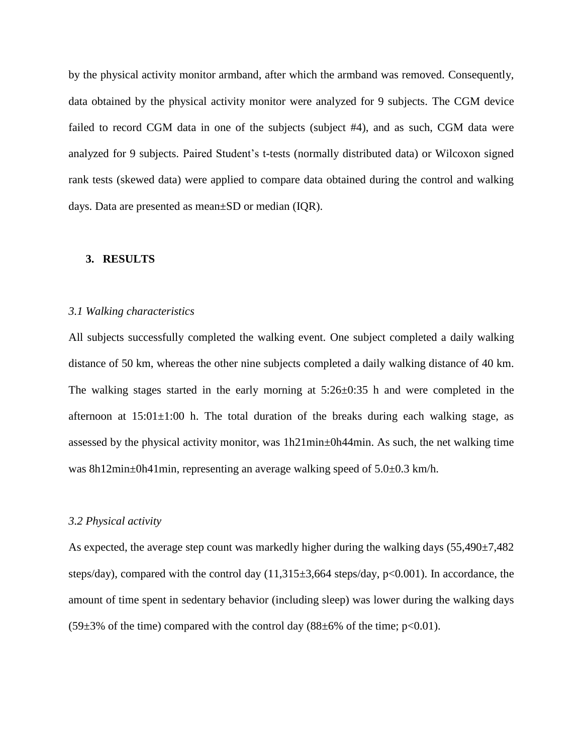by the physical activity monitor armband, after which the armband was removed. Consequently, data obtained by the physical activity monitor were analyzed for 9 subjects. The CGM device failed to record CGM data in one of the subjects (subject #4), and as such, CGM data were analyzed for 9 subjects. Paired Student's t-tests (normally distributed data) or Wilcoxon signed rank tests (skewed data) were applied to compare data obtained during the control and walking days. Data are presented as mean±SD or median (IQR).

#### **3. RESULTS**

#### *3.1 Walking characteristics*

All subjects successfully completed the walking event. One subject completed a daily walking distance of 50 km, whereas the other nine subjects completed a daily walking distance of 40 km. The walking stages started in the early morning at  $5:26\pm0:35$  h and were completed in the afternoon at  $15:01\pm1:00$  h. The total duration of the breaks during each walking stage, as assessed by the physical activity monitor, was 1h21min±0h44min. As such, the net walking time was 8h12min±0h41min, representing an average walking speed of 5.0±0.3 km/h.

#### *3.2 Physical activity*

As expected, the average step count was markedly higher during the walking days (55,490±7,482 steps/day), compared with the control day (11,315±3,664 steps/day, p<0.001). In accordance, the amount of time spent in sedentary behavior (including sleep) was lower during the walking days  $(59\pm3\% \text{ of the time})$  compared with the control day  $(88\pm6\% \text{ of the time}; \text{p} < 0.01)$ .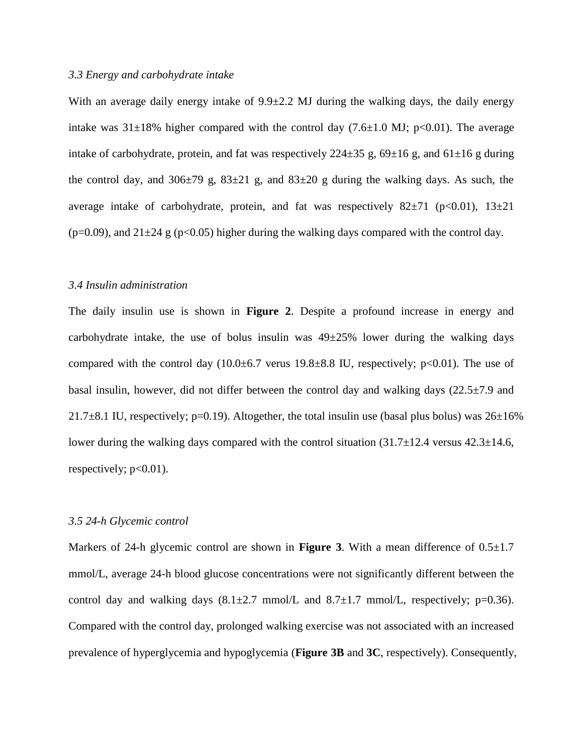#### *3.3 Energy and carbohydrate intake*

With an average daily energy intake of  $9.9\pm2.2$  MJ during the walking days, the daily energy intake was  $31\pm18\%$  higher compared with the control day (7.6 $\pm1.0$  MJ; p<0.01). The average intake of carbohydrate, protein, and fat was respectively  $224\pm35$  g,  $69\pm16$  g, and  $61\pm16$  g during the control day, and  $306\pm79$  g,  $83\pm21$  g, and  $83\pm20$  g during the walking days. As such, the average intake of carbohydrate, protein, and fat was respectively  $82\pm71$  (p<0.01),  $13\pm21$ (p=0.09), and  $21\pm24$  g (p<0.05) higher during the walking days compared with the control day.

#### *3.4 Insulin administration*

The daily insulin use is shown in **Figure 2**. Despite a profound increase in energy and carbohydrate intake, the use of bolus insulin was  $49\pm25\%$  lower during the walking days compared with the control day  $(10.0\pm6.7 \text{ versus } 19.8\pm8.8 \text{ IU}, \text{ respectively}; \text{p} < 0.01)$ . The use of basal insulin, however, did not differ between the control day and walking days  $(22.5\pm7.9 \text{ and }$ 21.7 $\pm$ 8.1 IU, respectively; p=0.19). Altogether, the total insulin use (basal plus bolus) was 26 $\pm$ 16% lower during the walking days compared with the control situation  $(31.7\pm12.4$  versus  $42.3\pm14.6$ , respectively;  $p<0.01$ ).

#### *3.5 24-h Glycemic control*

Markers of 24-h glycemic control are shown in **Figure 3**. With a mean difference of  $0.5 \pm 1.7$ mmol/L, average 24-h blood glucose concentrations were not significantly different between the control day and walking days  $(8.1 \pm 2.7 \text{ mmol/L})$  and  $(8.7 \pm 1.7 \text{ mmol/L})$ , respectively; p=0.36). Compared with the control day, prolonged walking exercise was not associated with an increased prevalence of hyperglycemia and hypoglycemia (**Figure 3B** and **3C**, respectively). Consequently,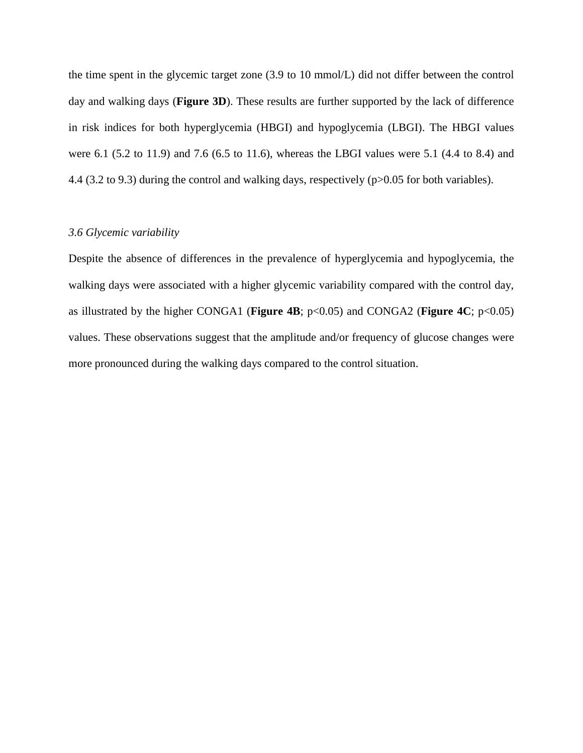the time spent in the glycemic target zone (3.9 to 10 mmol/L) did not differ between the control day and walking days (**Figure 3D**). These results are further supported by the lack of difference in risk indices for both hyperglycemia (HBGI) and hypoglycemia (LBGI). The HBGI values were 6.1 (5.2 to 11.9) and 7.6 (6.5 to 11.6), whereas the LBGI values were 5.1 (4.4 to 8.4) and 4.4 (3.2 to 9.3) during the control and walking days, respectively (p>0.05 for both variables).

#### *3.6 Glycemic variability*

Despite the absence of differences in the prevalence of hyperglycemia and hypoglycemia, the walking days were associated with a higher glycemic variability compared with the control day, as illustrated by the higher CONGA1 (**Figure 4B**; p<0.05) and CONGA2 (**Figure 4C**; p<0.05) values. These observations suggest that the amplitude and/or frequency of glucose changes were more pronounced during the walking days compared to the control situation.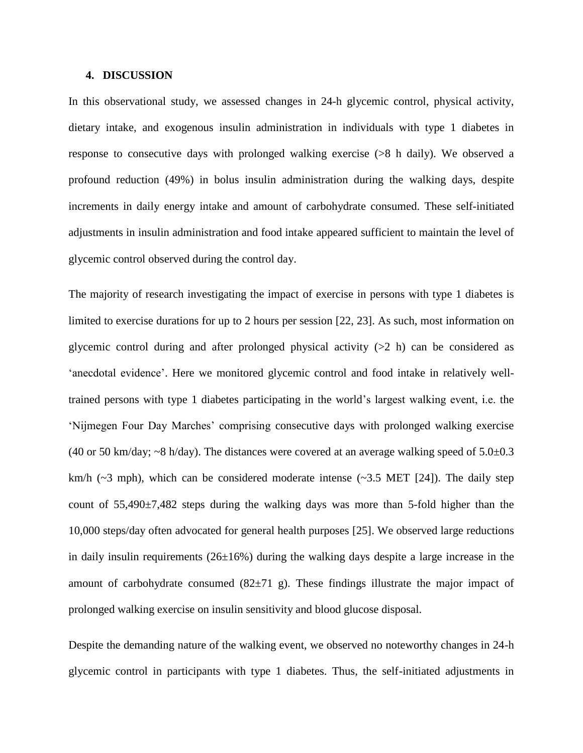#### **4. DISCUSSION**

In this observational study, we assessed changes in 24-h glycemic control, physical activity, dietary intake, and exogenous insulin administration in individuals with type 1 diabetes in response to consecutive days with prolonged walking exercise (>8 h daily). We observed a profound reduction (49%) in bolus insulin administration during the walking days, despite increments in daily energy intake and amount of carbohydrate consumed. These self-initiated adjustments in insulin administration and food intake appeared sufficient to maintain the level of glycemic control observed during the control day.

The majority of research investigating the impact of exercise in persons with type 1 diabetes is limited to exercise durations for up to 2 hours per session [\[22,](#page-19-6) [23\]](#page-19-7). As such, most information on glycemic control during and after prolonged physical activity  $(22 h)$  can be considered as 'anecdotal evidence'. Here we monitored glycemic control and food intake in relatively welltrained persons with type 1 diabetes participating in the world's largest walking event, i.e. the 'Nijmegen Four Day Marches' comprising consecutive days with prolonged walking exercise (40 or 50 km/day;  $\sim$ 8 h/day). The distances were covered at an average walking speed of 5.0 $\pm$ 0.3 km/h ( $\sim$ 3 mph), which can be considered moderate intense ( $\sim$ 3.5 MET [\[24\]](#page-19-8)). The daily step count of 55,490±7,482 steps during the walking days was more than 5-fold higher than the 10,000 steps/day often advocated for general health purposes [\[25\]](#page-19-9). We observed large reductions in daily insulin requirements  $(26\pm16\%)$  during the walking days despite a large increase in the amount of carbohydrate consumed  $(82\pm71)$  g). These findings illustrate the major impact of prolonged walking exercise on insulin sensitivity and blood glucose disposal.

Despite the demanding nature of the walking event, we observed no noteworthy changes in 24-h glycemic control in participants with type 1 diabetes. Thus, the self-initiated adjustments in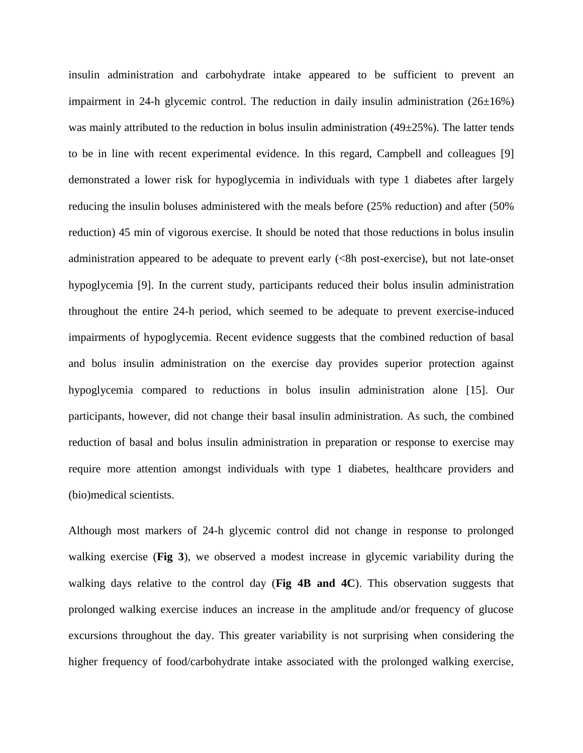insulin administration and carbohydrate intake appeared to be sufficient to prevent an impairment in 24-h glycemic control. The reduction in daily insulin administration  $(26\pm16%)$ was mainly attributed to the reduction in bolus insulin administration  $(49\pm25\%)$ . The latter tends to be in line with recent experimental evidence. In this regard, Campbell and colleagues [\[9\]](#page-18-7) demonstrated a lower risk for hypoglycemia in individuals with type 1 diabetes after largely reducing the insulin boluses administered with the meals before (25% reduction) and after (50% reduction) 45 min of vigorous exercise. It should be noted that those reductions in bolus insulin administration appeared to be adequate to prevent early  $\ll$ 8h post-exercise), but not late-onset hypoglycemia [\[9\]](#page-18-7). In the current study, participants reduced their bolus insulin administration throughout the entire 24-h period, which seemed to be adequate to prevent exercise-induced impairments of hypoglycemia. Recent evidence suggests that the combined reduction of basal and bolus insulin administration on the exercise day provides superior protection against hypoglycemia compared to reductions in bolus insulin administration alone [\[15\]](#page-18-10). Our participants, however, did not change their basal insulin administration. As such, the combined reduction of basal and bolus insulin administration in preparation or response to exercise may require more attention amongst individuals with type 1 diabetes, healthcare providers and (bio)medical scientists.

Although most markers of 24-h glycemic control did not change in response to prolonged walking exercise (**Fig 3**), we observed a modest increase in glycemic variability during the walking days relative to the control day (**Fig 4B and 4C**). This observation suggests that prolonged walking exercise induces an increase in the amplitude and/or frequency of glucose excursions throughout the day. This greater variability is not surprising when considering the higher frequency of food/carbohydrate intake associated with the prolonged walking exercise,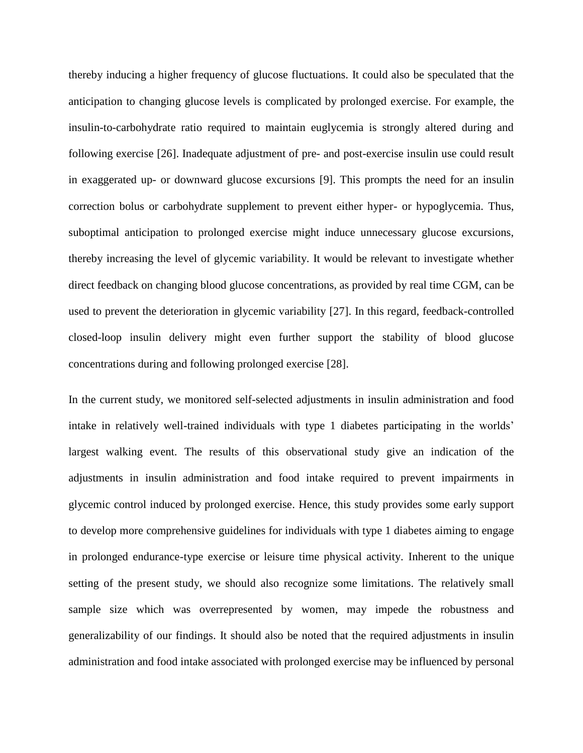thereby inducing a higher frequency of glucose fluctuations. It could also be speculated that the anticipation to changing glucose levels is complicated by prolonged exercise. For example, the insulin-to-carbohydrate ratio required to maintain euglycemia is strongly altered during and following exercise [\[26\]](#page-19-10). Inadequate adjustment of pre- and post-exercise insulin use could result in exaggerated up- or downward glucose excursions [\[9\]](#page-18-7). This prompts the need for an insulin correction bolus or carbohydrate supplement to prevent either hyper- or hypoglycemia. Thus, suboptimal anticipation to prolonged exercise might induce unnecessary glucose excursions, thereby increasing the level of glycemic variability. It would be relevant to investigate whether direct feedback on changing blood glucose concentrations, as provided by real time CGM, can be used to prevent the deterioration in glycemic variability [\[27\]](#page-19-11). In this regard, feedback-controlled closed-loop insulin delivery might even further support the stability of blood glucose concentrations during and following prolonged exercise [\[28\]](#page-19-12).

In the current study, we monitored self-selected adjustments in insulin administration and food intake in relatively well-trained individuals with type 1 diabetes participating in the worlds' largest walking event. The results of this observational study give an indication of the adjustments in insulin administration and food intake required to prevent impairments in glycemic control induced by prolonged exercise. Hence, this study provides some early support to develop more comprehensive guidelines for individuals with type 1 diabetes aiming to engage in prolonged endurance-type exercise or leisure time physical activity. Inherent to the unique setting of the present study, we should also recognize some limitations. The relatively small sample size which was overrepresented by women, may impede the robustness and generalizability of our findings. It should also be noted that the required adjustments in insulin administration and food intake associated with prolonged exercise may be influenced by personal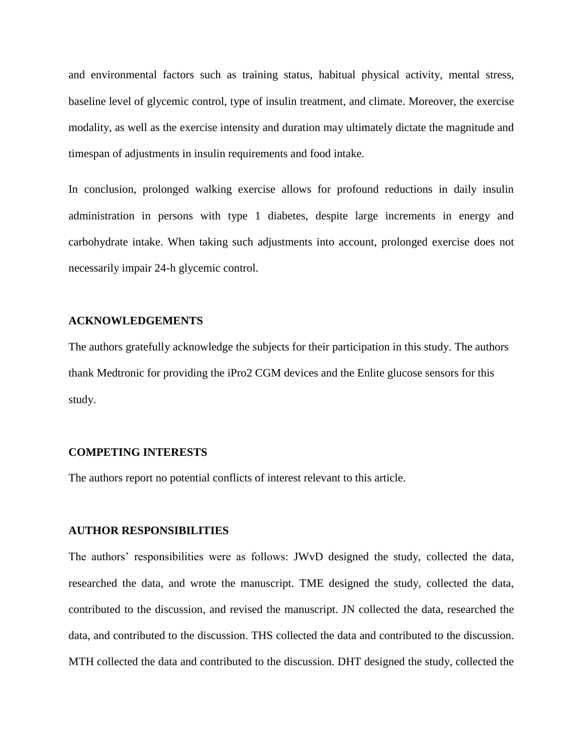and environmental factors such as training status, habitual physical activity, mental stress, baseline level of glycemic control, type of insulin treatment, and climate. Moreover, the exercise modality, as well as the exercise intensity and duration may ultimately dictate the magnitude and timespan of adjustments in insulin requirements and food intake.

In conclusion, prolonged walking exercise allows for profound reductions in daily insulin administration in persons with type 1 diabetes, despite large increments in energy and carbohydrate intake. When taking such adjustments into account, prolonged exercise does not necessarily impair 24-h glycemic control.

#### **ACKNOWLEDGEMENTS**

The authors gratefully acknowledge the subjects for their participation in this study. The authors thank Medtronic for providing the iPro2 CGM devices and the Enlite glucose sensors for this study.

#### **COMPETING INTERESTS**

The authors report no potential conflicts of interest relevant to this article.

#### **AUTHOR RESPONSIBILITIES**

The authors' responsibilities were as follows: JWvD designed the study, collected the data, researched the data, and wrote the manuscript. TME designed the study, collected the data, contributed to the discussion, and revised the manuscript. JN collected the data, researched the data, and contributed to the discussion. THS collected the data and contributed to the discussion. MTH collected the data and contributed to the discussion. DHT designed the study, collected the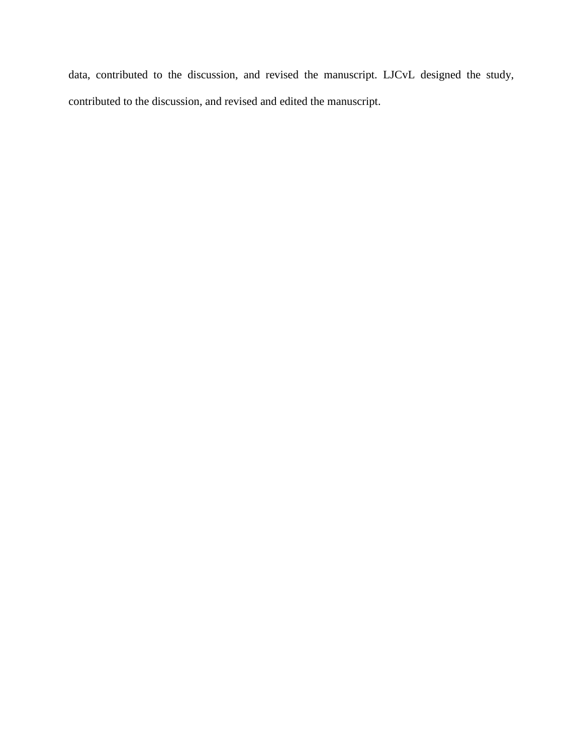data, contributed to the discussion, and revised the manuscript. LJCvL designed the study, contributed to the discussion, and revised and edited the manuscript.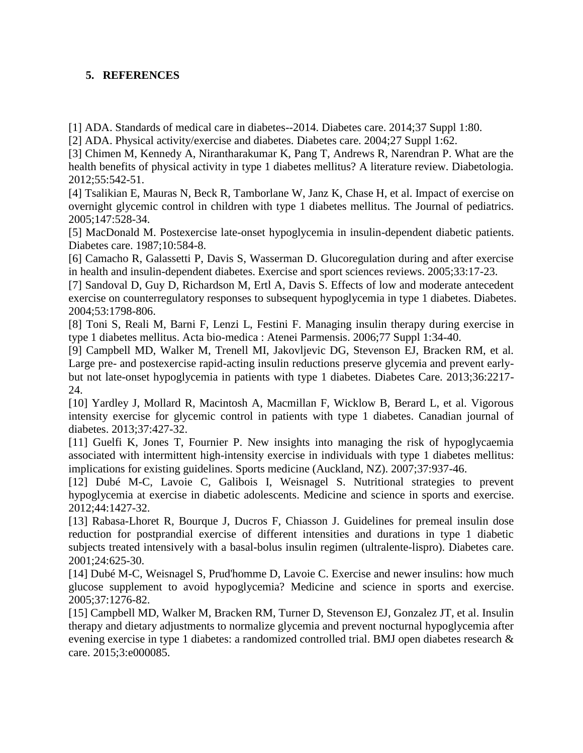### **5. REFERENCES**

<span id="page-18-0"></span>[1] ADA. Standards of medical care in diabetes--2014. Diabetes care. 2014;37 Suppl 1:80.

<span id="page-18-5"></span>[2] ADA. Physical activity/exercise and diabetes. Diabetes care. 2004;27 Suppl 1:62.

[3] Chimen M, Kennedy A, Nirantharakumar K, Pang T, Andrews R, Narendran P. What are the health benefits of physical activity in type 1 diabetes mellitus? A literature review. Diabetologia. 2012;55:542-51.

<span id="page-18-1"></span>[4] Tsalikian E, Mauras N, Beck R, Tamborlane W, Janz K, Chase H, et al. Impact of exercise on overnight glycemic control in children with type 1 diabetes mellitus. The Journal of pediatrics. 2005;147:528-34.

<span id="page-18-2"></span>[5] MacDonald M. Postexercise late-onset hypoglycemia in insulin-dependent diabetic patients. Diabetes care. 1987;10:584-8.

<span id="page-18-3"></span>[6] Camacho R, Galassetti P, Davis S, Wasserman D. Glucoregulation during and after exercise in health and insulin-dependent diabetes. Exercise and sport sciences reviews. 2005;33:17-23.

<span id="page-18-4"></span>[7] Sandoval D, Guy D, Richardson M, Ertl A, Davis S. Effects of low and moderate antecedent exercise on counterregulatory responses to subsequent hypoglycemia in type 1 diabetes. Diabetes. 2004;53:1798-806.

<span id="page-18-6"></span>[8] Toni S, Reali M, Barni F, Lenzi L, Festini F. Managing insulin therapy during exercise in type 1 diabetes mellitus. Acta bio-medica : Atenei Parmensis. 2006;77 Suppl 1:34-40.

<span id="page-18-7"></span>[9] Campbell MD, Walker M, Trenell MI, Jakovljevic DG, Stevenson EJ, Bracken RM, et al. Large pre- and postexercise rapid-acting insulin reductions preserve glycemia and prevent earlybut not late-onset hypoglycemia in patients with type 1 diabetes. Diabetes Care. 2013;36:2217- 24.

<span id="page-18-8"></span>[10] Yardley J, Mollard R, Macintosh A, Macmillan F, Wicklow B, Berard L, et al. Vigorous intensity exercise for glycemic control in patients with type 1 diabetes. Canadian journal of diabetes. 2013;37:427-32.

<span id="page-18-9"></span>[11] Guelfi K, Jones T, Fournier P. New insights into managing the risk of hypoglycaemia associated with intermittent high-intensity exercise in individuals with type 1 diabetes mellitus: implications for existing guidelines. Sports medicine (Auckland, NZ). 2007;37:937-46.

[12] Dubé M-C, Lavoie C, Galibois I, Weisnagel S. Nutritional strategies to prevent hypoglycemia at exercise in diabetic adolescents. Medicine and science in sports and exercise. 2012;44:1427-32.

[13] Rabasa-Lhoret R, Bourque J, Ducros F, Chiasson J. Guidelines for premeal insulin dose reduction for postprandial exercise of different intensities and durations in type 1 diabetic subjects treated intensively with a basal-bolus insulin regimen (ultralente-lispro). Diabetes care. 2001;24:625-30.

[14] Dubé M-C, Weisnagel S, Prud'homme D, Lavoie C. Exercise and newer insulins: how much glucose supplement to avoid hypoglycemia? Medicine and science in sports and exercise. 2005;37:1276-82.

<span id="page-18-10"></span>[15] Campbell MD, Walker M, Bracken RM, Turner D, Stevenson EJ, Gonzalez JT, et al. Insulin therapy and dietary adjustments to normalize glycemia and prevent nocturnal hypoglycemia after evening exercise in type 1 diabetes: a randomized controlled trial. BMJ open diabetes research & care. 2015;3:e000085.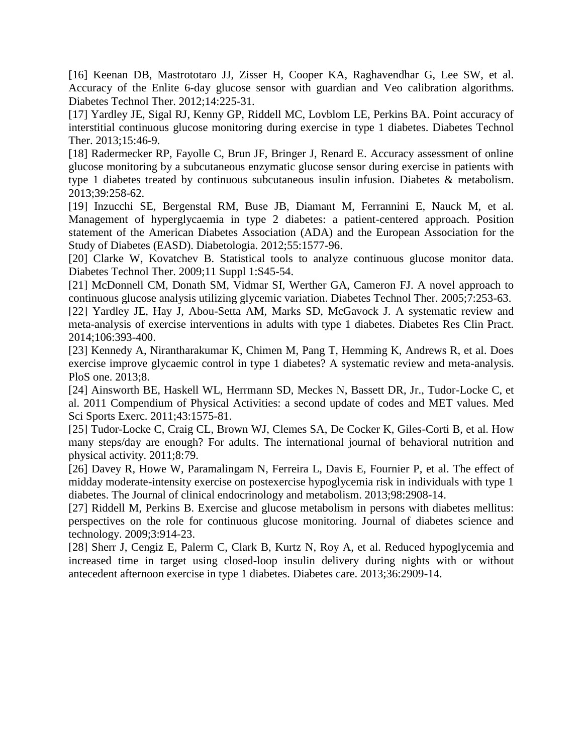<span id="page-19-0"></span>[16] Keenan DB, Mastrototaro JJ, Zisser H, Cooper KA, Raghavendhar G, Lee SW, et al. Accuracy of the Enlite 6-day glucose sensor with guardian and Veo calibration algorithms. Diabetes Technol Ther. 2012;14:225-31.

<span id="page-19-1"></span>[17] Yardley JE, Sigal RJ, Kenny GP, Riddell MC, Lovblom LE, Perkins BA. Point accuracy of interstitial continuous glucose monitoring during exercise in type 1 diabetes. Diabetes Technol Ther. 2013;15:46-9.

<span id="page-19-2"></span>[18] Radermecker RP, Fayolle C, Brun JF, Bringer J, Renard E. Accuracy assessment of online glucose monitoring by a subcutaneous enzymatic glucose sensor during exercise in patients with type 1 diabetes treated by continuous subcutaneous insulin infusion. Diabetes & metabolism. 2013;39:258-62.

<span id="page-19-3"></span>[19] Inzucchi SE, Bergenstal RM, Buse JB, Diamant M, Ferrannini E, Nauck M, et al. Management of hyperglycaemia in type 2 diabetes: a patient-centered approach. Position statement of the American Diabetes Association (ADA) and the European Association for the Study of Diabetes (EASD). Diabetologia. 2012;55:1577-96.

<span id="page-19-4"></span>[20] Clarke W, Kovatchev B. Statistical tools to analyze continuous glucose monitor data. Diabetes Technol Ther. 2009;11 Suppl 1:S45-54.

<span id="page-19-5"></span>[21] McDonnell CM, Donath SM, Vidmar SI, Werther GA, Cameron FJ. A novel approach to continuous glucose analysis utilizing glycemic variation. Diabetes Technol Ther. 2005;7:253-63.

<span id="page-19-6"></span>[22] Yardley JE, Hay J, Abou-Setta AM, Marks SD, McGavock J. A systematic review and meta-analysis of exercise interventions in adults with type 1 diabetes. Diabetes Res Clin Pract. 2014;106:393-400.

<span id="page-19-7"></span>[23] Kennedy A, Nirantharakumar K, Chimen M, Pang T, Hemming K, Andrews R, et al. Does exercise improve glycaemic control in type 1 diabetes? A systematic review and meta-analysis. PloS one. 2013;8.

<span id="page-19-8"></span>[24] Ainsworth BE, Haskell WL, Herrmann SD, Meckes N, Bassett DR, Jr., Tudor-Locke C, et al. 2011 Compendium of Physical Activities: a second update of codes and MET values. Med Sci Sports Exerc. 2011;43:1575-81.

<span id="page-19-9"></span>[25] Tudor-Locke C, Craig CL, Brown WJ, Clemes SA, De Cocker K, Giles-Corti B, et al. How many steps/day are enough? For adults. The international journal of behavioral nutrition and physical activity. 2011;8:79.

<span id="page-19-10"></span>[26] Davey R, Howe W, Paramalingam N, Ferreira L, Davis E, Fournier P, et al. The effect of midday moderate-intensity exercise on postexercise hypoglycemia risk in individuals with type 1 diabetes. The Journal of clinical endocrinology and metabolism. 2013;98:2908-14.

<span id="page-19-11"></span>[27] Riddell M, Perkins B. Exercise and glucose metabolism in persons with diabetes mellitus: perspectives on the role for continuous glucose monitoring. Journal of diabetes science and technology. 2009;3:914-23.

<span id="page-19-12"></span>[28] Sherr J, Cengiz E, Palerm C, Clark B, Kurtz N, Roy A, et al. Reduced hypoglycemia and increased time in target using closed-loop insulin delivery during nights with or without antecedent afternoon exercise in type 1 diabetes. Diabetes care. 2013;36:2909-14.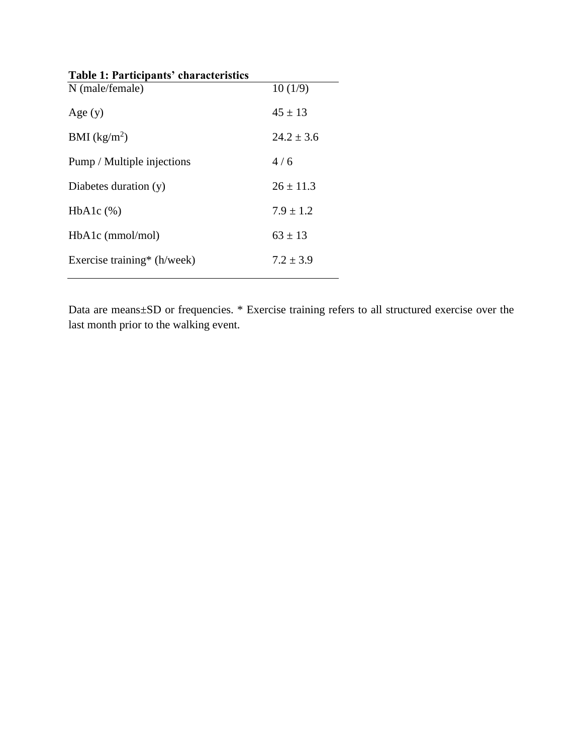| Table 1: Participants' characteristics |               |
|----------------------------------------|---------------|
| N (male/female)                        | 10(1/9)       |
| Age $(y)$                              | $45 \pm 13$   |
| BMI $(kg/m2)$                          | $24.2 + 3.6$  |
| Pump / Multiple injections             | 4/6           |
| Diabetes duration $(y)$                | $26 \pm 11.3$ |
| $HbA1c$ $(\%)$                         | $7.9 + 1.2$   |
| $HbA1c$ (mmol/mol)                     | $63 \pm 13$   |
| Exercise training* (h/week)            | $7.2 + 3.9$   |
|                                        |               |

Data are means±SD or frequencies. \* Exercise training refers to all structured exercise over the last month prior to the walking event.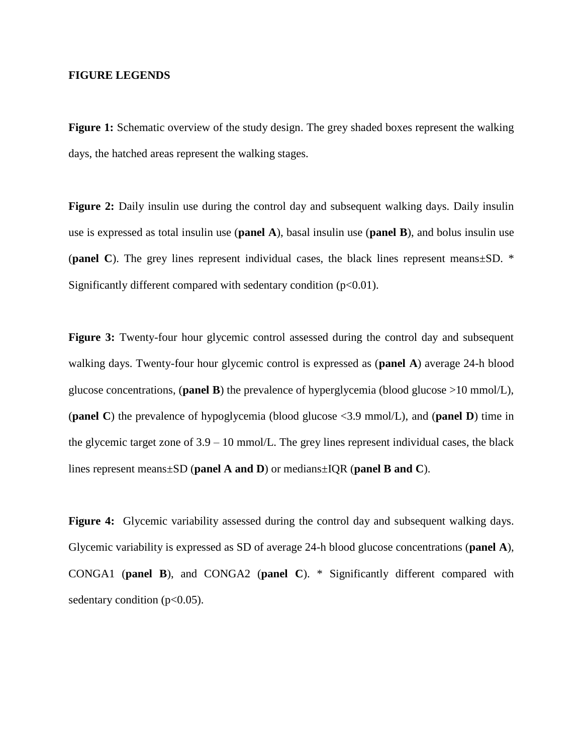#### **FIGURE LEGENDS**

**Figure 1:** Schematic overview of the study design. The grey shaded boxes represent the walking days, the hatched areas represent the walking stages.

Figure 2: Daily insulin use during the control day and subsequent walking days. Daily insulin use is expressed as total insulin use (**panel A**), basal insulin use (**panel B**), and bolus insulin use (**panel C**). The grey lines represent individual cases, the black lines represent means±SD. \* Significantly different compared with sedentary condition  $(p<0.01)$ .

**Figure 3:** Twenty-four hour glycemic control assessed during the control day and subsequent walking days. Twenty-four hour glycemic control is expressed as (**panel A**) average 24-h blood glucose concentrations, (**panel B**) the prevalence of hyperglycemia (blood glucose >10 mmol/L), (**panel C**) the prevalence of hypoglycemia (blood glucose <3.9 mmol/L), and (**panel D**) time in the glycemic target zone of  $3.9 - 10$  mmol/L. The grey lines represent individual cases, the black lines represent means±SD (**panel A and D**) or medians±IQR (**panel B and C**).

Figure 4: Glycemic variability assessed during the control day and subsequent walking days. Glycemic variability is expressed as SD of average 24-h blood glucose concentrations (**panel A**), CONGA1 (**panel B**), and CONGA2 (**panel C**). \* Significantly different compared with sedentary condition  $(p<0.05)$ .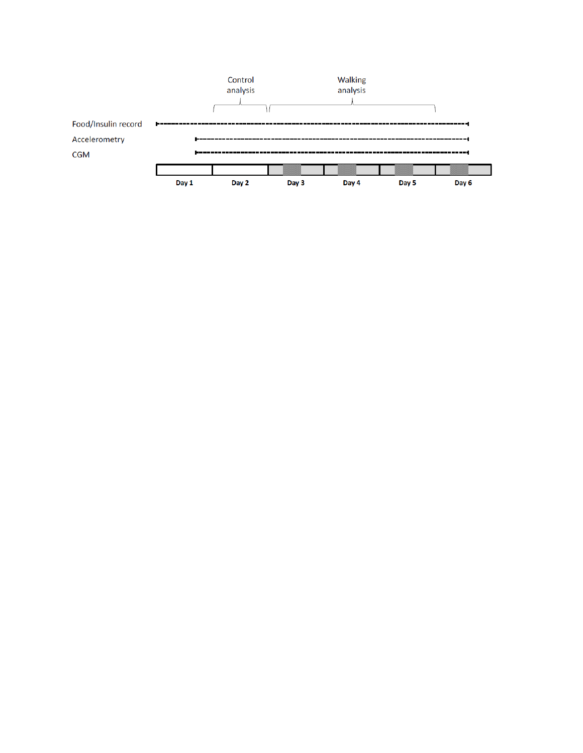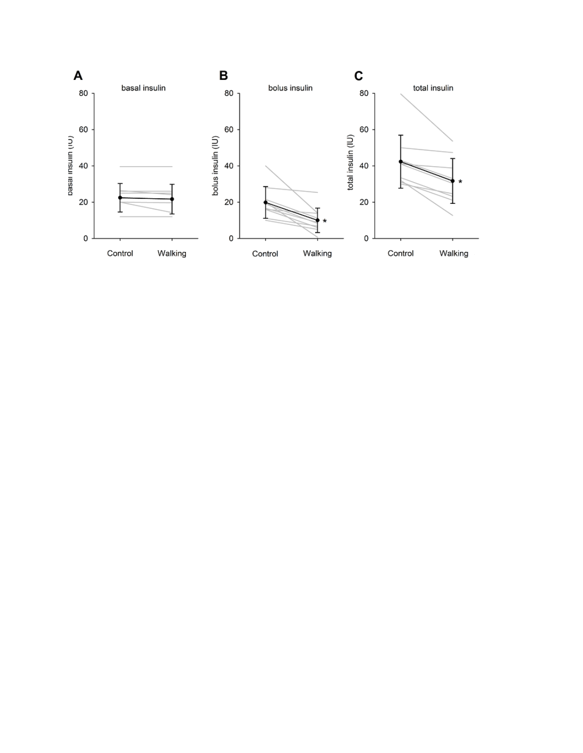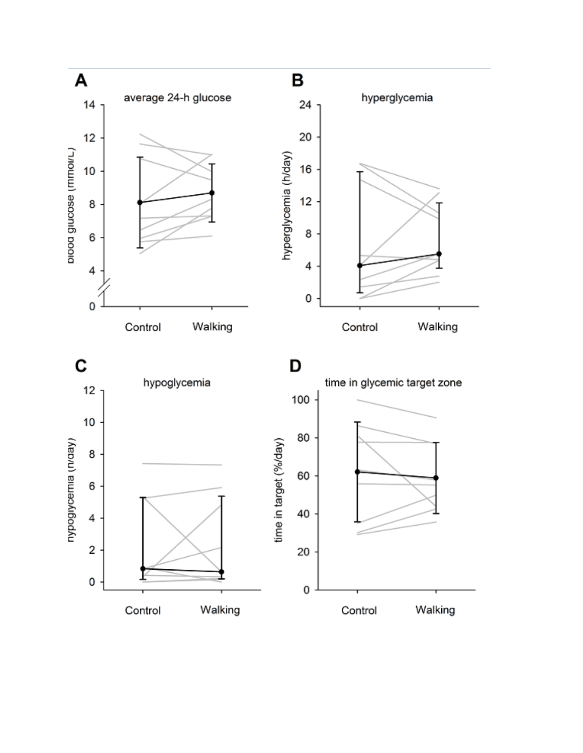